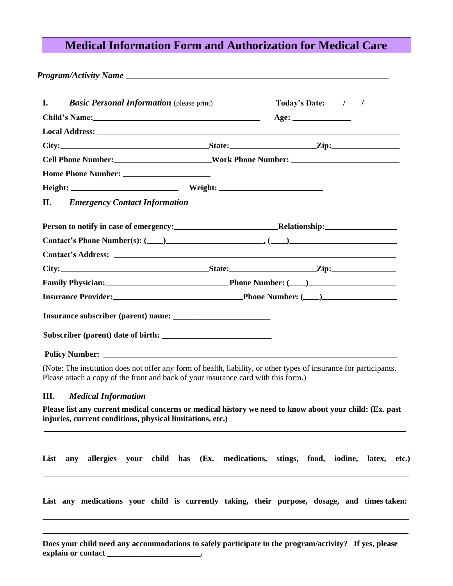## **Medical Information Form and Authorization for Medical Care**

*Program/Activity Name*  **I.** *Basic Personal Information* (please print) **Today's Date: / / Child's Name: Age: Local Address: City: State: Zip: Cell Phone Number: Work Phone Number: Work Phone**: **Work Phone**: **Work Phone**: **Work Phone**: **Work Phone**: **Work Phone**: **Work Phone**: **Work Phone**: **Work Phone**: **Work Phone**: **Work Phone**: **Wor Home Phone Number: Height: Weight: II.** *Emergency Contact Information* **Person to notify in case of emergency: Relationship: Relationship: Relationship: Contact's Phone Number(s): ( ) , ( ) Contact's Address:**  City: <u>City: State: State: Zip: Zip:</u> Zip: 2.11 **Family Physician: Phone Number: ( ) Insurance Provider:** 2000 **Phone Phone Number:** (2000)  **Insurance subscriber (parent) name: \_\_\_\_\_\_\_\_\_\_\_\_\_\_\_\_\_\_\_\_\_\_\_\_**  Subscriber (parent) date of birth: **Policy Number:** 

(Note: The institution does not offer any form of health, liability, or other types of insurance for participants. Please attach a copy of the front and back of your insurance card with this form.)

## **III.** *Medical Information*

**Please list any current medical concerns or medical history we need to know about your child: (Ex. past injuries, current conditions, physical limitations, etc.)** 

**List any allergies your child has (Ex. medications, stings, food, iodine, latex, etc.) List any medications your child is currently taking, their purpose, dosage, and times taken: Does your child need any accommodations to safely participate in the program/activity? If yes, please explain or contact \_\_\_\_\_\_\_\_\_\_\_\_\_\_\_\_\_\_\_\_\_\_\_.**